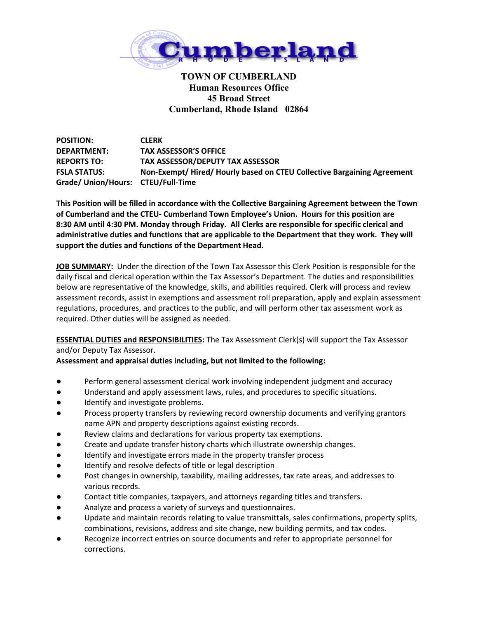

## **TOWN OF CUMBERLAND Human Resources Office 45 Broad Street Cumberland, Rhode Island 02864**

**POSITION: CLERK DEPARTMENT: TAX ASSESSOR'S OFFICE REPORTS TO: TAX ASSESSOR/DEPUTY TAX ASSESSOR FSLA STATUS: Non-Exempt/ Hired/ Hourly based on CTEU Collective Bargaining Agreement Grade/ Union/Hours: CTEU/Full-Time**

**This Position will be filled in accordance with the Collective Bargaining Agreement between the Town of Cumberland and the CTEU- Cumberland Town Employee's Union. Hours for this position are 8:30 AM until 4:30 PM. Monday through Friday. All Clerks are responsible for specific clerical and administrative duties and functions that are applicable to the Department that they work. They will support the duties and functions of the Department Head.**

**JOB SUMMARY:** Under the direction of the Town Tax Assessor this Clerk Position is responsible for the daily fiscal and clerical operation within the Tax Assessor's Department. The duties and responsibilities below are representative of the knowledge, skills, and abilities required. Clerk will process and review assessment records, assist in exemptions and assessment roll preparation, apply and explain assessment regulations, procedures, and practices to the public, and will perform other tax assessment work as required. Other duties will be assigned as needed.

**ESSENTIAL DUTIES and RESPONSIBILITIES:** The Tax Assessment Clerk(s) will support the Tax Assessor and/or Deputy Tax Assessor.

## **Assessment and appraisal duties including, but not limited to the following:**

- **●** Perform general assessment clerical work involving independent judgment and accuracy
- Understand and apply assessment laws, rules, and procedures to specific situations.
- Identify and investigate problems.
- Process property transfers by reviewing record ownership documents and verifying grantors name APN and property descriptions against existing records.
- Review claims and declarations for various property tax exemptions.
- Create and update transfer history charts which illustrate ownership changes.
- Identify and investigate errors made in the property transfer process
- Identify and resolve defects of title or legal description
- Post changes in ownership, taxability, mailing addresses, tax rate areas, and addresses to various records.
- Contact title companies, taxpayers, and attorneys regarding titles and transfers.
- Analyze and process a variety of surveys and questionnaires.
- Update and maintain records relating to value transmittals, sales confirmations, property splits, combinations, revisions, address and site change, new building permits, and tax codes.
- Recognize incorrect entries on source documents and refer to appropriate personnel for corrections.